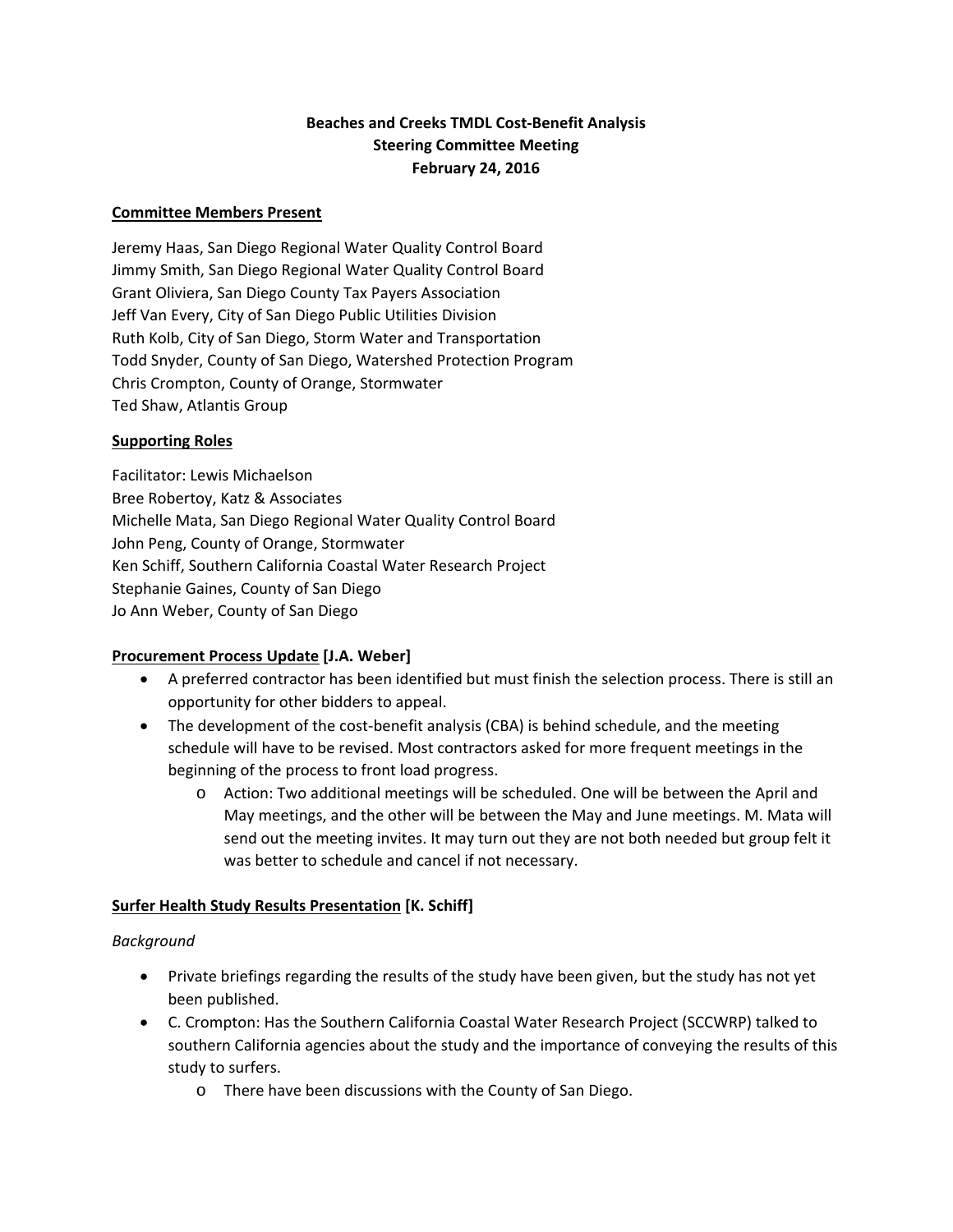# **Beaches and Creeks TMDL Cost‐Benefit Analysis Steering Committee Meeting February 24, 2016**

#### **Committee Members Present**

Jeremy Haas, San Diego Regional Water Quality Control Board Jimmy Smith, San Diego Regional Water Quality Control Board Grant Oliviera, San Diego County Tax Payers Association Jeff Van Every, City of San Diego Public Utilities Division Ruth Kolb, City of San Diego, Storm Water and Transportation Todd Snyder, County of San Diego, Watershed Protection Program Chris Crompton, County of Orange, Stormwater Ted Shaw, Atlantis Group

#### **Supporting Roles**

Facilitator: Lewis Michaelson Bree Robertoy, Katz & Associates Michelle Mata, San Diego Regional Water Quality Control Board John Peng, County of Orange, Stormwater Ken Schiff, Southern California Coastal Water Research Project Stephanie Gaines, County of San Diego Jo Ann Weber, County of San Diego

# **Procurement Process Update [J.A. Weber]**

- A preferred contractor has been identified but must finish the selection process. There is still an opportunity for other bidders to appeal.
- The development of the cost-benefit analysis (CBA) is behind schedule, and the meeting schedule will have to be revised. Most contractors asked for more frequent meetings in the beginning of the process to front load progress.
	- o Action: Two additional meetings will be scheduled. One will be between the April and May meetings, and the other will be between the May and June meetings. M. Mata will send out the meeting invites. It may turn out they are not both needed but group felt it was better to schedule and cancel if not necessary.

# **Surfer Health Study Results Presentation [K. Schiff]**

#### *Background*

- Private briefings regarding the results of the study have been given, but the study has not yet been published.
- C. Crompton: Has the Southern California Coastal Water Research Project (SCCWRP) talked to southern California agencies about the study and the importance of conveying the results of this study to surfers.
	- o There have been discussions with the County of San Diego.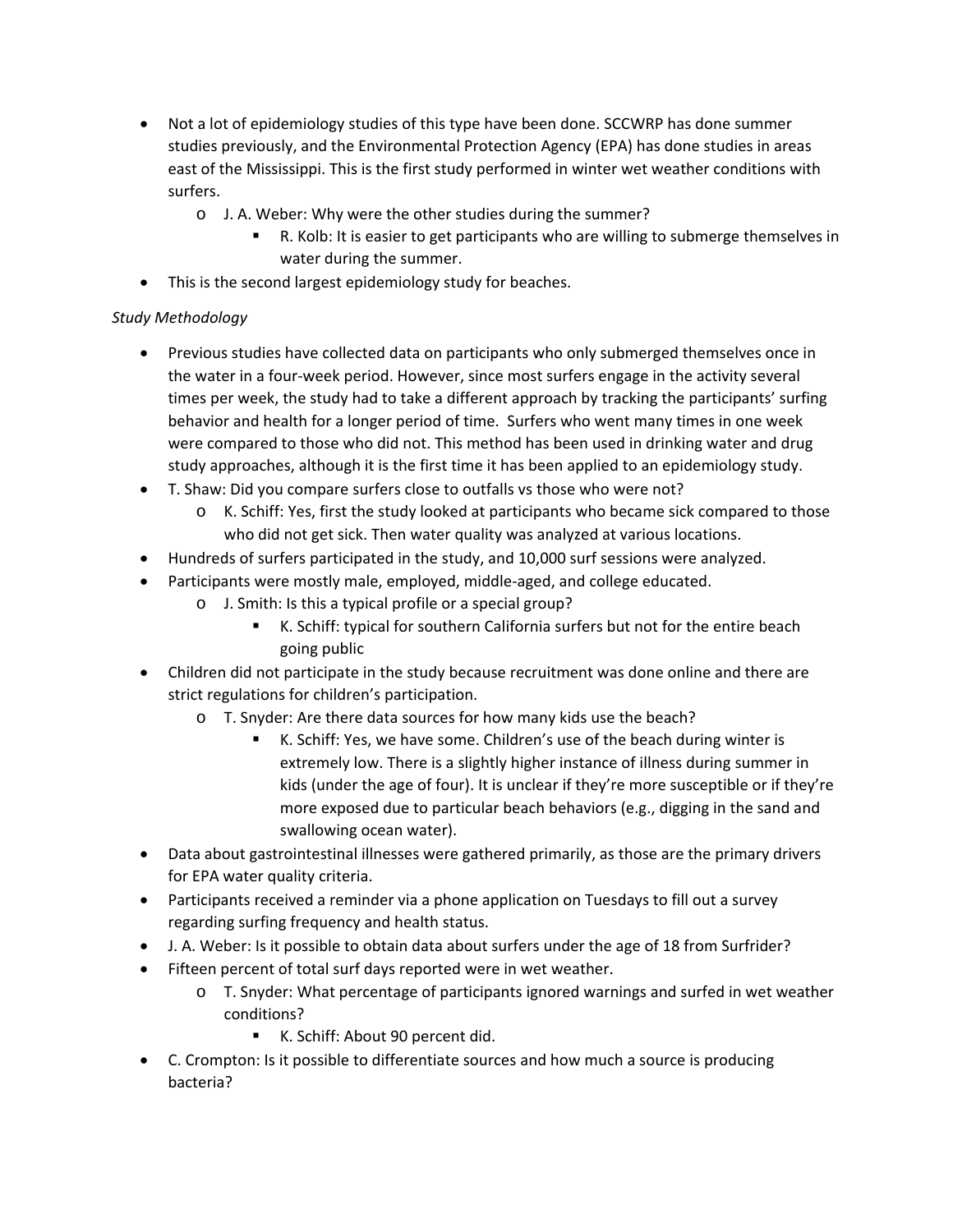- Not a lot of epidemiology studies of this type have been done. SCCWRP has done summer studies previously, and the Environmental Protection Agency (EPA) has done studies in areas east of the Mississippi. This is the first study performed in winter wet weather conditions with surfers.
	- o J. A. Weber: Why were the other studies during the summer?
		- R. Kolb: It is easier to get participants who are willing to submerge themselves in water during the summer.
- This is the second largest epidemiology study for beaches.

# *Study Methodology*

- Previous studies have collected data on participants who only submerged themselves once in the water in a four‐week period. However, since most surfers engage in the activity several times per week, the study had to take a different approach by tracking the participants' surfing behavior and health for a longer period of time. Surfers who went many times in one week were compared to those who did not. This method has been used in drinking water and drug study approaches, although it is the first time it has been applied to an epidemiology study.
- T. Shaw: Did you compare surfers close to outfalls vs those who were not?
	- o K. Schiff: Yes, first the study looked at participants who became sick compared to those who did not get sick. Then water quality was analyzed at various locations.
- Hundreds of surfers participated in the study, and 10,000 surf sessions were analyzed.
- Participants were mostly male, employed, middle‐aged, and college educated.
	- o J. Smith: Is this a typical profile or a special group?
		- K. Schiff: typical for southern California surfers but not for the entire beach going public
- Children did not participate in the study because recruitment was done online and there are strict regulations for children's participation.
	- o T. Snyder: Are there data sources for how many kids use the beach?
		- K. Schiff: Yes, we have some. Children's use of the beach during winter is extremely low. There is a slightly higher instance of illness during summer in kids (under the age of four). It is unclear if they're more susceptible or if they're more exposed due to particular beach behaviors (e.g., digging in the sand and swallowing ocean water).
- Data about gastrointestinal illnesses were gathered primarily, as those are the primary drivers for EPA water quality criteria.
- Participants received a reminder via a phone application on Tuesdays to fill out a survey regarding surfing frequency and health status.
- J. A. Weber: Is it possible to obtain data about surfers under the age of 18 from Surfrider?
- Fifteen percent of total surf days reported were in wet weather.
	- o T. Snyder: What percentage of participants ignored warnings and surfed in wet weather conditions?
		- K. Schiff: About 90 percent did.
- C. Crompton: Is it possible to differentiate sources and how much a source is producing bacteria?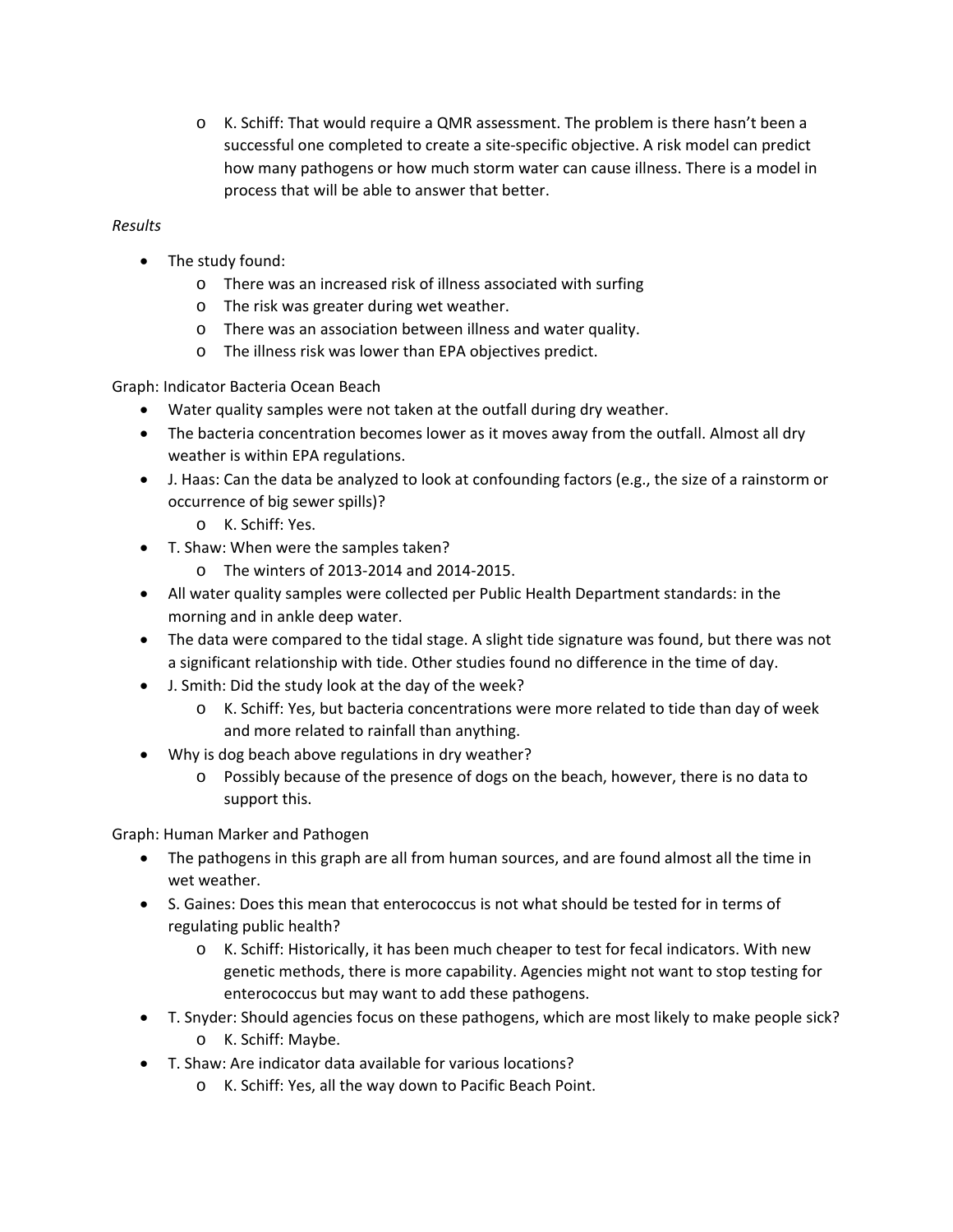o K. Schiff: That would require a QMR assessment. The problem is there hasn't been a successful one completed to create a site-specific objective. A risk model can predict how many pathogens or how much storm water can cause illness. There is a model in process that will be able to answer that better.

# *Results*

- The study found:
	- o There was an increased risk of illness associated with surfing
	- o The risk was greater during wet weather.
	- o There was an association between illness and water quality.
	- o The illness risk was lower than EPA objectives predict.

Graph: Indicator Bacteria Ocean Beach

- Water quality samples were not taken at the outfall during dry weather.
- The bacteria concentration becomes lower as it moves away from the outfall. Almost all dry weather is within EPA regulations.
- J. Haas: Can the data be analyzed to look at confounding factors (e.g., the size of a rainstorm or occurrence of big sewer spills)?
	- o K. Schiff: Yes.
- T. Shaw: When were the samples taken?
	- o The winters of 2013‐2014 and 2014‐2015.
- All water quality samples were collected per Public Health Department standards: in the morning and in ankle deep water.
- The data were compared to the tidal stage. A slight tide signature was found, but there was not a significant relationship with tide. Other studies found no difference in the time of day.
- J. Smith: Did the study look at the day of the week?
	- o K. Schiff: Yes, but bacteria concentrations were more related to tide than day of week and more related to rainfall than anything.
- Why is dog beach above regulations in dry weather?
	- o Possibly because of the presence of dogs on the beach, however, there is no data to support this.

Graph: Human Marker and Pathogen

- The pathogens in this graph are all from human sources, and are found almost all the time in wet weather.
- S. Gaines: Does this mean that enterococcus is not what should be tested for in terms of regulating public health?
	- o K. Schiff: Historically, it has been much cheaper to test for fecal indicators. With new genetic methods, there is more capability. Agencies might not want to stop testing for enterococcus but may want to add these pathogens.
- T. Snyder: Should agencies focus on these pathogens, which are most likely to make people sick?
	- o K. Schiff: Maybe.
- T. Shaw: Are indicator data available for various locations?
	- o K. Schiff: Yes, all the way down to Pacific Beach Point.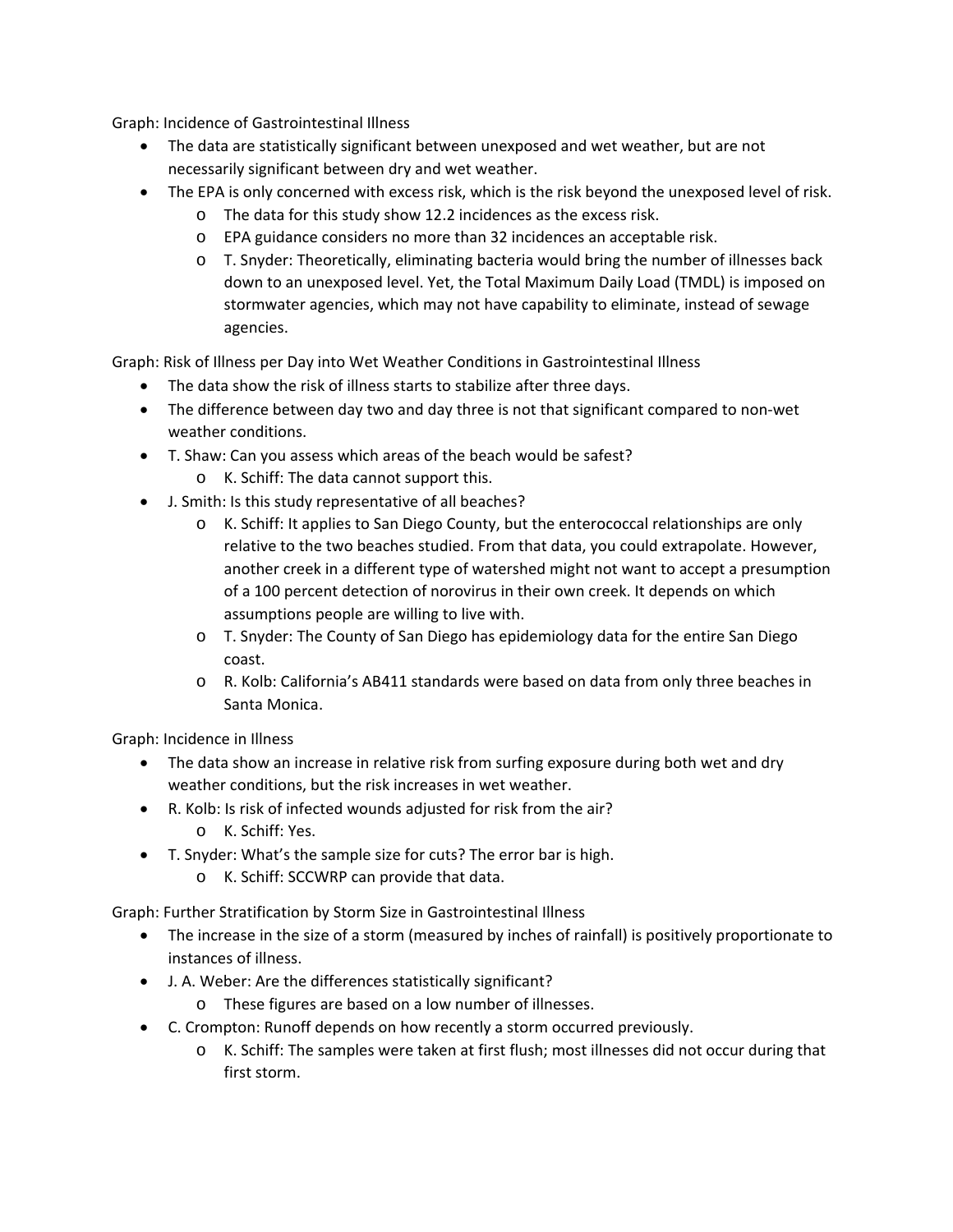Graph: Incidence of Gastrointestinal Illness

- The data are statistically significant between unexposed and wet weather, but are not necessarily significant between dry and wet weather.
- The EPA is only concerned with excess risk, which is the risk beyond the unexposed level of risk.
	- o The data for this study show 12.2 incidences as the excess risk.
	- o EPA guidance considers no more than 32 incidences an acceptable risk.
	- o T. Snyder: Theoretically, eliminating bacteria would bring the number of illnesses back down to an unexposed level. Yet, the Total Maximum Daily Load (TMDL) is imposed on stormwater agencies, which may not have capability to eliminate, instead of sewage agencies.

Graph: Risk of Illness per Day into Wet Weather Conditions in Gastrointestinal Illness

- The data show the risk of illness starts to stabilize after three days.
- The difference between day two and day three is not that significant compared to non-wet weather conditions.
- T. Shaw: Can you assess which areas of the beach would be safest?
	- o K. Schiff: The data cannot support this.
- J. Smith: Is this study representative of all beaches?
	- o K. Schiff: It applies to San Diego County, but the enterococcal relationships are only relative to the two beaches studied. From that data, you could extrapolate. However, another creek in a different type of watershed might not want to accept a presumption of a 100 percent detection of norovirus in their own creek. It depends on which assumptions people are willing to live with.
	- o T. Snyder: The County of San Diego has epidemiology data for the entire San Diego coast.
	- o R. Kolb: California's AB411 standards were based on data from only three beaches in Santa Monica.

Graph: Incidence in Illness

- The data show an increase in relative risk from surfing exposure during both wet and dry weather conditions, but the risk increases in wet weather.
- R. Kolb: Is risk of infected wounds adjusted for risk from the air?
	- o K. Schiff: Yes.
- T. Snyder: What's the sample size for cuts? The error bar is high.
	- o K. Schiff: SCCWRP can provide that data.

Graph: Further Stratification by Storm Size in Gastrointestinal Illness

- The increase in the size of a storm (measured by inches of rainfall) is positively proportionate to instances of illness.
- J. A. Weber: Are the differences statistically significant?
	- o These figures are based on a low number of illnesses.
- C. Crompton: Runoff depends on how recently a storm occurred previously.
	- o K. Schiff: The samples were taken at first flush; most illnesses did not occur during that first storm.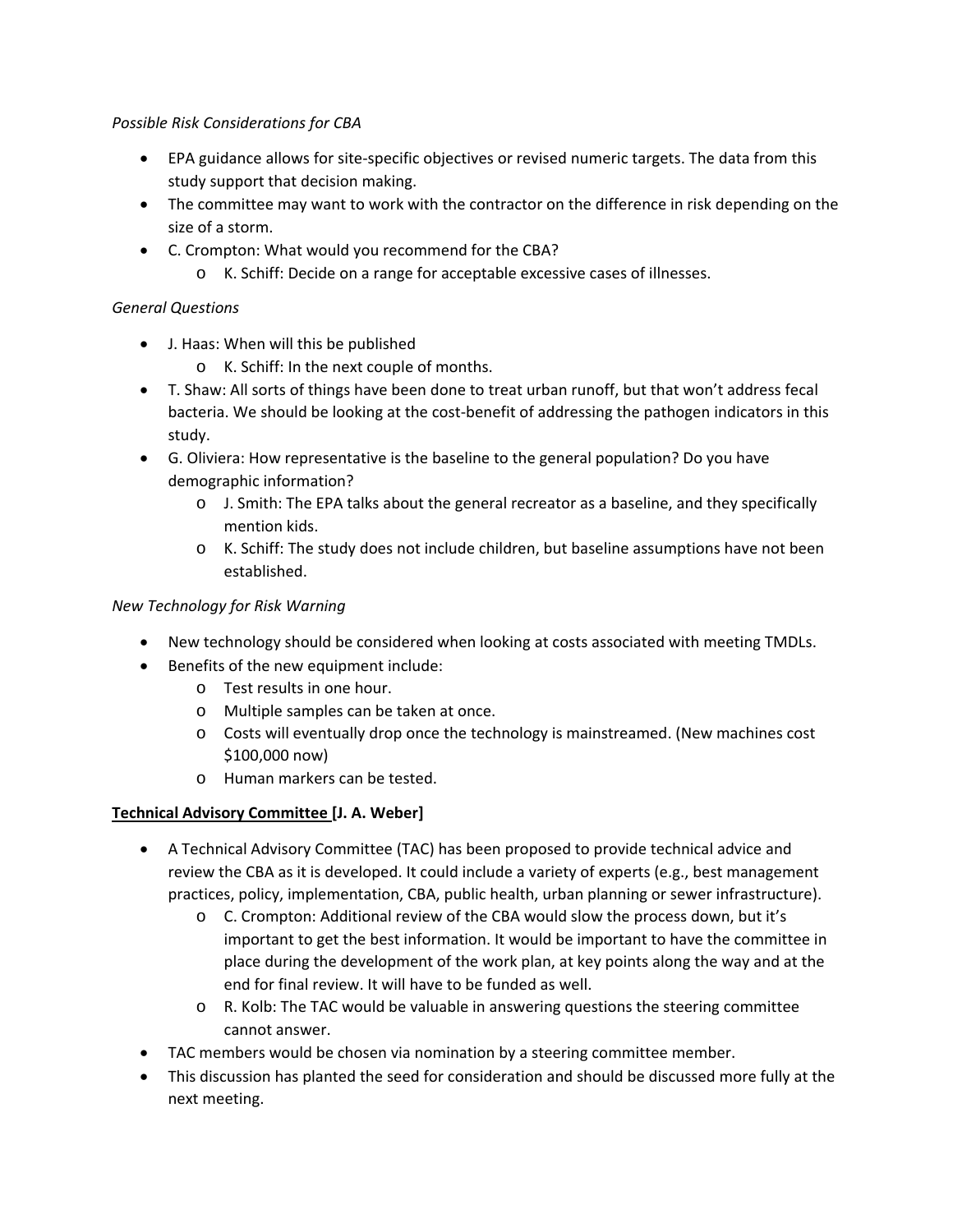#### *Possible Risk Considerations for CBA*

- EPA guidance allows for site‐specific objectives or revised numeric targets. The data from this study support that decision making.
- The committee may want to work with the contractor on the difference in risk depending on the size of a storm.
- C. Crompton: What would you recommend for the CBA?
	- o K. Schiff: Decide on a range for acceptable excessive cases of illnesses.

# *General Questions*

- J. Haas: When will this be published
	- o K. Schiff: In the next couple of months.
- T. Shaw: All sorts of things have been done to treat urban runoff, but that won't address fecal bacteria. We should be looking at the cost-benefit of addressing the pathogen indicators in this study.
- G. Oliviera: How representative is the baseline to the general population? Do you have demographic information?
	- o J. Smith: The EPA talks about the general recreator as a baseline, and they specifically mention kids.
	- o K. Schiff: The study does not include children, but baseline assumptions have not been established.

# *New Technology for Risk Warning*

- New technology should be considered when looking at costs associated with meeting TMDLs.
- Benefits of the new equipment include:
	- o Test results in one hour.
	- o Multiple samples can be taken at once.
	- o Costs will eventually drop once the technology is mainstreamed. (New machines cost \$100,000 now)
	- o Human markers can be tested.

# **Technical Advisory Committee [J. A. Weber]**

- A Technical Advisory Committee (TAC) has been proposed to provide technical advice and review the CBA as it is developed. It could include a variety of experts (e.g., best management practices, policy, implementation, CBA, public health, urban planning or sewer infrastructure).
	- o C. Crompton: Additional review of the CBA would slow the process down, but it's important to get the best information. It would be important to have the committee in place during the development of the work plan, at key points along the way and at the end for final review. It will have to be funded as well.
	- o R. Kolb: The TAC would be valuable in answering questions the steering committee cannot answer.
- TAC members would be chosen via nomination by a steering committee member.
- This discussion has planted the seed for consideration and should be discussed more fully at the next meeting.